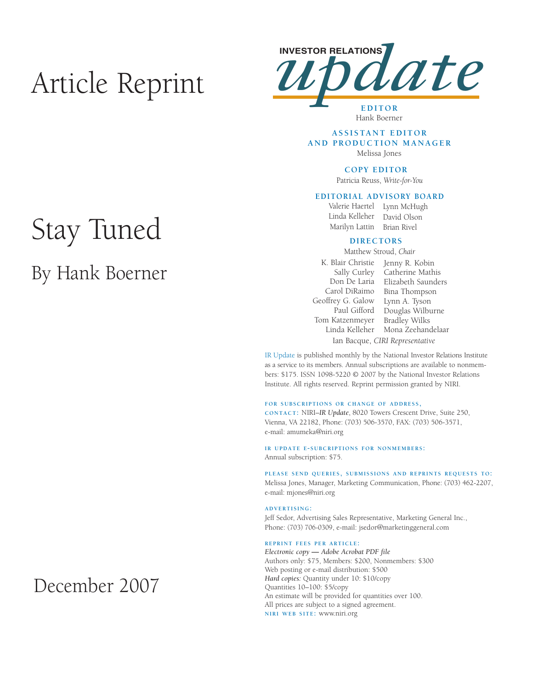# Article Reprint



**EDITOR** Hank Boerner

## **A S S I S TA N T E D I T O R AND PRODUCTION MANAGER**

Melissa Jones

### **COPY EDITOR**

Patricia Reuss, *Write-for-You*

# **EDITORIAL ADVISORY BOARD**

Valerie Haertel Lynn McHugh Linda Kelleher David Olson

Marilyn Lattin Brian Rivel

# **DIRECTORS**

Matthew Stroud, *Chair*

K. Blair Christie Jenny R. Kobin Sally Curley Catherine Mathis Don De Laria Elizabeth Saunders Carol DiRaimo Bina Thompson Geoffrey G. Galow Paul Gifford Douglas Wilburne Tom Katzenmeyer Linda Kelleher Lynn A. Tyson Bradley Wilks Mona Zeehandelaar Ian Bacque, *CIRI Representative*

IR Update is published monthly by the National Investor Relations Institute as a service to its members. Annual subscriptions are available to nonmembers: \$175. ISSN 1098-5220 © 2007 by the National Investor Relations Institute. All rights reserved. Reprint permission granted by NIRI.

### **FOR SUBSCRIPTIONS OR CHANGE OF ADDRESS,**

**CONTACT:** NIRI–*IR Update*, 8020 Towers Crescent Drive, Suite 250, Vienna, VA 22182, Phone: (703) 506-3570, FAX: (703) 506-3571, e-mail: amumeka@niri.org

**IR UPDATE E-SUBCRIPTIONS FOR NONMEMBERS:**  Annual subscription: \$75.

**PLEASE SEND QUERIES, SUBMISSIONS AND REPRINTS REQUESTS TO:** Melissa Jones, Manager, Marketing Communication, Phone: (703) 462-2207, e-mail: mjones@niri.org

## **ADVERTISING:**

Jeff Sedor, Advertising Sales Representative, Marketing General Inc., Phone: (703) 706-0309, e-mail: jsedor@marketinggeneral.com

#### **REPRINT FEES PER ARTICLE:**

*Electronic copy* **—** *Adobe Acrobat PDF file*  Authors only: \$75, Members: \$200, Nonmembers: \$300 Web posting or e-mail distribution: \$500 *Hard copies:* Quantity under 10: \$10/copy Quantities 10–100: \$5/copy An estimate will be provided for quantities over 100. All prices are subject to a signed agreement. **NIRI WEB SITE:** www.niri.org

# Stay Tuned

# By Hank Boerner

# December 2007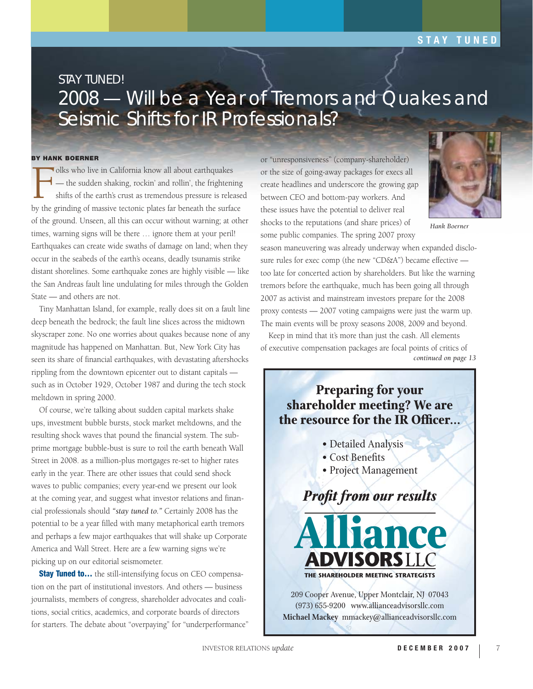# **STAY TUNED**

# STAY TUNED! 2008 — Will be a Year of Tremors and Quakes and Seismic Shifts for IR Professionals?

# **BY HANK BOERNER**

Folks who live in California know all about earthquakes<br>
— the sudden shaking, rockin' and rollin', the frightenis<br>
shifts of the earth's crust as tremendous pressure is release<br>
the existence of massive tectonic plates fa — the sudden shaking, rockin' and rollin', the frightening shifts of the earth's crust as tremendous pressure is released by the grinding of massive tectonic plates far beneath the surface of the ground. Unseen, all this can occur without warning; at other times, warning signs will be there … ignore them at your peril! Earthquakes can create wide swaths of damage on land; when they occur in the seabeds of the earth's oceans, deadly tsunamis strike distant shorelines. Some earthquake zones are highly visible — like the San Andreas fault line undulating for miles through the Golden State — and others are not.

Tiny Manhattan Island, for example, really does sit on a fault line deep beneath the bedrock; the fault line slices across the midtown skyscraper zone. No one worries about quakes because none of any magnitude has happened on Manhattan. But, New York City has seen its share of financial earthquakes, with devastating aftershocks rippling from the downtown epicenter out to distant capitals such as in October 1929, October 1987 and during the tech stock meltdown in spring 2000.

Of course, we're talking about sudden capital markets shake ups, investment bubble bursts, stock market meltdowns, and the resulting shock waves that pound the financial system. The subprime mortgage bubble-bust is sure to roil the earth beneath Wall Street in 2008. as a million-plus mortgages re-set to higher rates early in the year. There are other issues that could send shock waves to public companies; every year-end we present our look at the coming year, and suggest what investor relations and financial professionals should *"stay tuned to."* Certainly 2008 has the potential to be a year filled with many metaphorical earth tremors and perhaps a few major earthquakes that will shake up Corporate America and Wall Street. Here are a few warning signs we're picking up on our editorial seismometer.

**Stay Tuned to...** the still-intensifying focus on CEO compensation on the part of institutional investors. And others — business journalists, members of congress, shareholder advocates and coalitions, social critics, academics, and corporate boards of directors for starters. The debate about "overpaying" for "underperformance" or "unresponsiveness" (company-shareholder) or the size of going-away packages for execs all create headlines and underscore the growing gap between CEO and bottom-pay workers. And these issues have the potential to deliver real shocks to the reputations (and share prices) of some public companies. The spring 2007 proxy



*Hank Boerner*

season maneuvering was already underway when expanded disclosure rules for exec comp (the new "CD&A") became effective too late for concerted action by shareholders. But like the warning tremors before the earthquake, much has been going all through 2007 as activist and mainstream investors prepare for the 2008 proxy contests — 2007 voting campaigns were just the warm up. The main events will be proxy seasons 2008, 2009 and beyond.

Keep in mind that it's more than just the cash. All elements of executive compensation packages are focal points of critics of *continued on page 13*